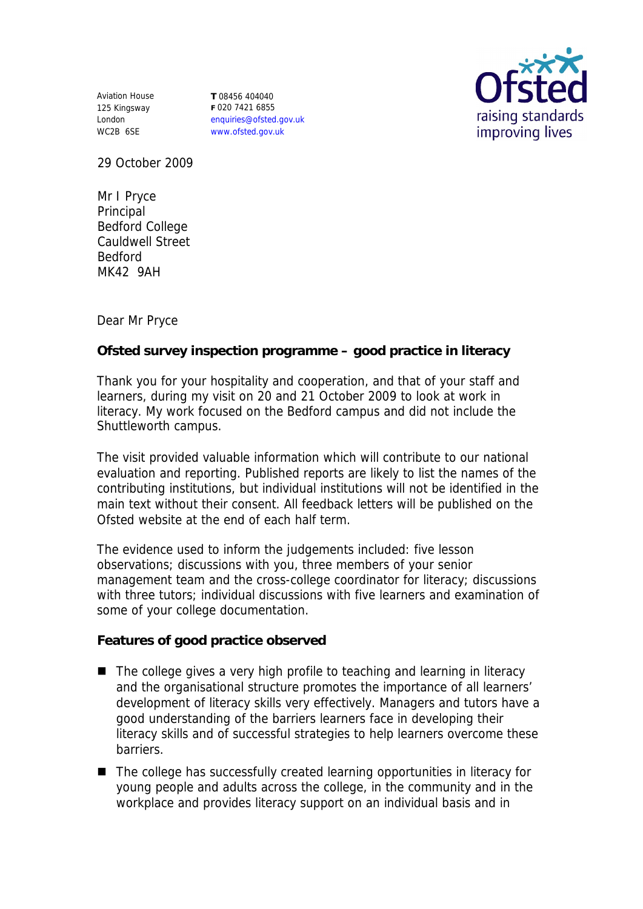Aviation House 125 Kingsway London WC2B 6SE

**T** 08456 404040 **F** 020 7421 6855 enquiries@ofsted.gov.uk www.ofsted.gov.uk



29 October 2009

Mr I Pryce Principal Bedford College Cauldwell Street Bedford MK42 9AH

Dear Mr Pryce

**Ofsted survey inspection programme – good practice in literacy** 

Thank you for your hospitality and cooperation, and that of your staff and learners, during my visit on 20 and 21 October 2009 to look at work in literacy. My work focused on the Bedford campus and did not include the Shuttleworth campus.

The visit provided valuable information which will contribute to our national evaluation and reporting. Published reports are likely to list the names of the contributing institutions, but individual institutions will not be identified in the main text without their consent. All feedback letters will be published on the Ofsted website at the end of each half term.

The evidence used to inform the judgements included: five lesson observations; discussions with you, three members of your senior management team and the cross-college coordinator for literacy; discussions with three tutors; individual discussions with five learners and examination of some of your college documentation.

**Features of good practice observed**

- The college gives a very high profile to teaching and learning in literacy and the organisational structure promotes the importance of all learners' development of literacy skills very effectively. Managers and tutors have a good understanding of the barriers learners face in developing their literacy skills and of successful strategies to help learners overcome these barriers.
- The college has successfully created learning opportunities in literacy for young people and adults across the college, in the community and in the workplace and provides literacy support on an individual basis and in